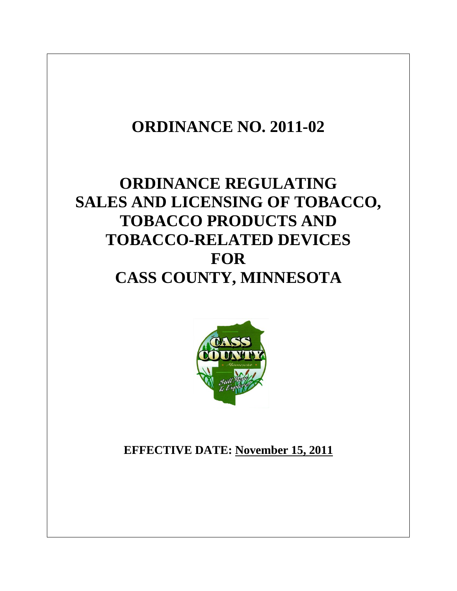# **ORDINANCE NO. 2011-02**

## **ORDINANCE REGULATING SALES AND LICENSING OF TOBACCO, TOBACCO PRODUCTS AND TOBACCO-RELATED DEVICES FOR CASS COUNTY, MINNESOTA**



**EFFECTIVE DATE: November 15, 2011**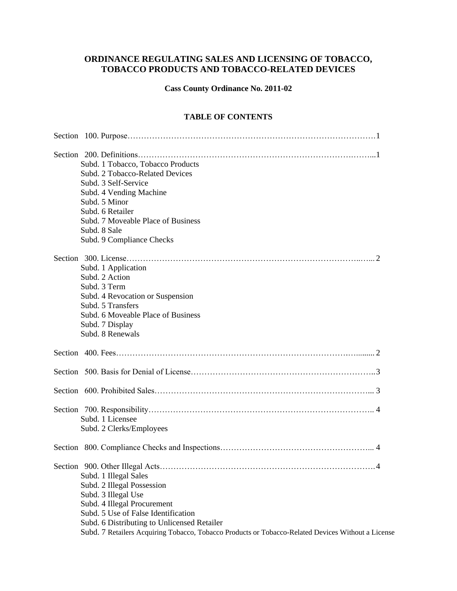## **ORDINANCE REGULATING SALES AND LICENSING OF TOBACCO, TOBACCO PRODUCTS AND TOBACCO-RELATED DEVICES**

**Cass County Ordinance No. 2011-02**

### **TABLE OF CONTENTS**

|  | Subd. 1 Tobacco, Tobacco Products                                                                  |
|--|----------------------------------------------------------------------------------------------------|
|  | Subd. 2 Tobacco-Related Devices                                                                    |
|  | Subd. 3 Self-Service                                                                               |
|  | Subd. 4 Vending Machine                                                                            |
|  | Subd. 5 Minor                                                                                      |
|  | Subd. 6 Retailer                                                                                   |
|  | Subd. 7 Moveable Place of Business                                                                 |
|  | Subd. 8 Sale                                                                                       |
|  | Subd. 9 Compliance Checks                                                                          |
|  |                                                                                                    |
|  | Subd. 1 Application                                                                                |
|  | Subd. 2 Action                                                                                     |
|  | Subd. 3 Term                                                                                       |
|  | Subd. 4 Revocation or Suspension                                                                   |
|  | Subd. 5 Transfers                                                                                  |
|  | Subd. 6 Moveable Place of Business                                                                 |
|  | Subd. 7 Display                                                                                    |
|  | Subd. 8 Renewals                                                                                   |
|  |                                                                                                    |
|  |                                                                                                    |
|  |                                                                                                    |
|  |                                                                                                    |
|  | Subd. 1 Licensee                                                                                   |
|  | Subd. 2 Clerks/Employees                                                                           |
|  |                                                                                                    |
|  | $\Delta$                                                                                           |
|  | Subd. 1 Illegal Sales                                                                              |
|  | Subd. 2 Illegal Possession                                                                         |
|  | Subd. 3 Illegal Use                                                                                |
|  | Subd. 4 Illegal Procurement                                                                        |
|  | Subd. 5 Use of False Identification                                                                |
|  | Subd. 6 Distributing to Unlicensed Retailer                                                        |
|  | Subd. 7 Retailers Acquiring Tobacco, Tobacco Products or Tobacco-Related Devices Without a License |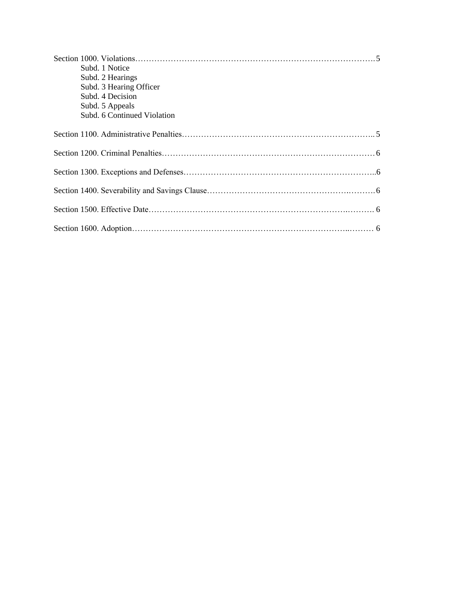| Subd. 1 Notice<br>Subd. 2 Hearings<br>Subd. 3 Hearing Officer<br>Subd. 4 Decision |  |
|-----------------------------------------------------------------------------------|--|
| Subd. 5 Appeals<br>Subd. 6 Continued Violation                                    |  |
|                                                                                   |  |
|                                                                                   |  |
|                                                                                   |  |
|                                                                                   |  |
|                                                                                   |  |
|                                                                                   |  |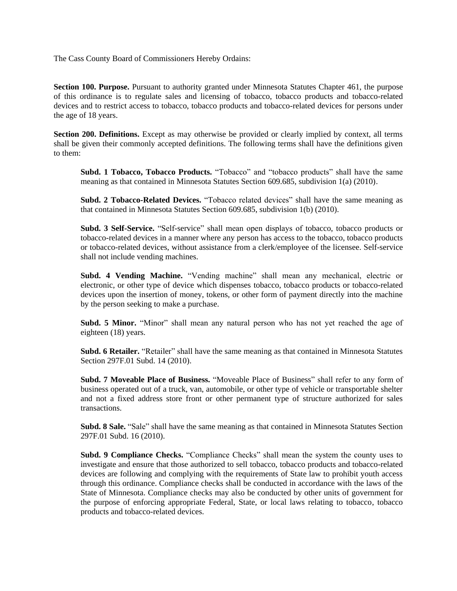The Cass County Board of Commissioners Hereby Ordains:

**Section 100. Purpose.** Pursuant to authority granted under Minnesota Statutes Chapter 461, the purpose of this ordinance is to regulate sales and licensing of tobacco, tobacco products and tobacco-related devices and to restrict access to tobacco, tobacco products and tobacco-related devices for persons under the age of 18 years.

**Section 200. Definitions.** Except as may otherwise be provided or clearly implied by context, all terms shall be given their commonly accepted definitions. The following terms shall have the definitions given to them:

**Subd. 1 Tobacco, Tobacco Products.** "Tobacco" and "tobacco products" shall have the same meaning as that contained in Minnesota Statutes Section 609.685, subdivision 1(a) (2010).

**Subd. 2 Tobacco-Related Devices.** "Tobacco related devices" shall have the same meaning as that contained in Minnesota Statutes Section 609.685, subdivision 1(b) (2010).

**Subd. 3 Self-Service.** "Self-service" shall mean open displays of tobacco, tobacco products or tobacco-related devices in a manner where any person has access to the tobacco, tobacco products or tobacco-related devices, without assistance from a clerk/employee of the licensee. Self-service shall not include vending machines.

**Subd. 4 Vending Machine.** "Vending machine" shall mean any mechanical, electric or electronic, or other type of device which dispenses tobacco, tobacco products or tobacco-related devices upon the insertion of money, tokens, or other form of payment directly into the machine by the person seeking to make a purchase.

**Subd. 5 Minor.** "Minor" shall mean any natural person who has not yet reached the age of eighteen (18) years.

**Subd. 6 Retailer.** "Retailer" shall have the same meaning as that contained in Minnesota Statutes Section 297F.01 Subd. 14 (2010).

**Subd. 7 Moveable Place of Business.** "Moveable Place of Business" shall refer to any form of business operated out of a truck, van, automobile, or other type of vehicle or transportable shelter and not a fixed address store front or other permanent type of structure authorized for sales transactions.

**Subd. 8 Sale.** "Sale" shall have the same meaning as that contained in Minnesota Statutes Section 297F.01 Subd. 16 (2010).

**Subd. 9 Compliance Checks.** "Compliance Checks" shall mean the system the county uses to investigate and ensure that those authorized to sell tobacco, tobacco products and tobacco-related devices are following and complying with the requirements of State law to prohibit youth access through this ordinance. Compliance checks shall be conducted in accordance with the laws of the State of Minnesota. Compliance checks may also be conducted by other units of government for the purpose of enforcing appropriate Federal, State, or local laws relating to tobacco, tobacco products and tobacco-related devices.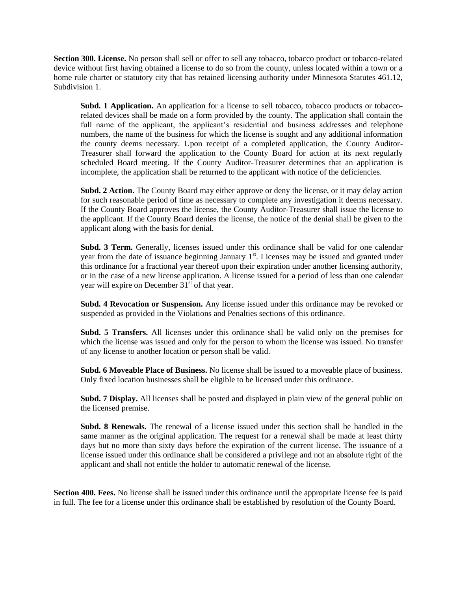**Section 300. License.** No person shall sell or offer to sell any tobacco, tobacco product or tobacco-related device without first having obtained a license to do so from the county, unless located within a town or a home rule charter or statutory city that has retained licensing authority under Minnesota Statutes 461.12, Subdivision 1.

**Subd. 1 Application.** An application for a license to sell tobacco, tobacco products or tobaccorelated devices shall be made on a form provided by the county. The application shall contain the full name of the applicant, the applicant's residential and business addresses and telephone numbers, the name of the business for which the license is sought and any additional information the county deems necessary. Upon receipt of a completed application, the County Auditor-Treasurer shall forward the application to the County Board for action at its next regularly scheduled Board meeting. If the County Auditor-Treasurer determines that an application is incomplete, the application shall be returned to the applicant with notice of the deficiencies.

**Subd. 2 Action.** The County Board may either approve or deny the license, or it may delay action for such reasonable period of time as necessary to complete any investigation it deems necessary. If the County Board approves the license, the County Auditor-Treasurer shall issue the license to the applicant. If the County Board denies the license, the notice of the denial shall be given to the applicant along with the basis for denial.

**Subd. 3 Term.** Generally, licenses issued under this ordinance shall be valid for one calendar year from the date of issuance beginning January  $1<sup>st</sup>$ . Licenses may be issued and granted under this ordinance for a fractional year thereof upon their expiration under another licensing authority, or in the case of a new license application. A license issued for a period of less than one calendar year will expire on December  $31<sup>st</sup>$  of that year.

**Subd. 4 Revocation or Suspension.** Any license issued under this ordinance may be revoked or suspended as provided in the Violations and Penalties sections of this ordinance.

**Subd. 5 Transfers.** All licenses under this ordinance shall be valid only on the premises for which the license was issued and only for the person to whom the license was issued. No transfer of any license to another location or person shall be valid.

**Subd. 6 Moveable Place of Business.** No license shall be issued to a moveable place of business. Only fixed location businesses shall be eligible to be licensed under this ordinance.

**Subd. 7 Display.** All licenses shall be posted and displayed in plain view of the general public on the licensed premise.

**Subd. 8 Renewals.** The renewal of a license issued under this section shall be handled in the same manner as the original application. The request for a renewal shall be made at least thirty days but no more than sixty days before the expiration of the current license. The issuance of a license issued under this ordinance shall be considered a privilege and not an absolute right of the applicant and shall not entitle the holder to automatic renewal of the license.

**Section 400. Fees.** No license shall be issued under this ordinance until the appropriate license fee is paid in full. The fee for a license under this ordinance shall be established by resolution of the County Board.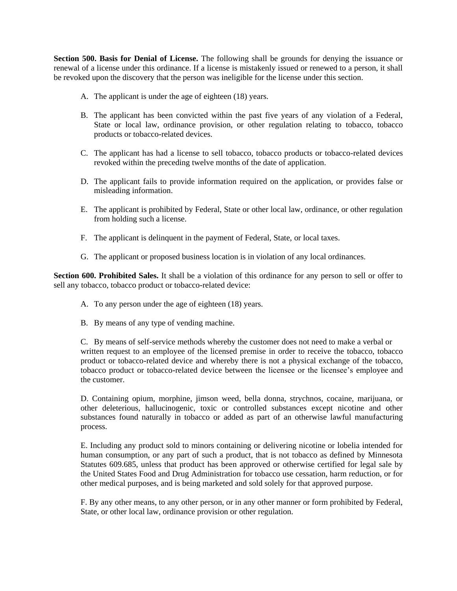**Section 500. Basis for Denial of License.** The following shall be grounds for denying the issuance or renewal of a license under this ordinance. If a license is mistakenly issued or renewed to a person, it shall be revoked upon the discovery that the person was ineligible for the license under this section.

- A. The applicant is under the age of eighteen (18) years.
- B. The applicant has been convicted within the past five years of any violation of a Federal, State or local law, ordinance provision, or other regulation relating to tobacco, tobacco products or tobacco-related devices.
- C. The applicant has had a license to sell tobacco, tobacco products or tobacco-related devices revoked within the preceding twelve months of the date of application.
- D. The applicant fails to provide information required on the application, or provides false or misleading information.
- E. The applicant is prohibited by Federal, State or other local law, ordinance, or other regulation from holding such a license.
- F. The applicant is delinquent in the payment of Federal, State, or local taxes.
- G. The applicant or proposed business location is in violation of any local ordinances.

**Section 600. Prohibited Sales.** It shall be a violation of this ordinance for any person to sell or offer to sell any tobacco, tobacco product or tobacco-related device:

- A. To any person under the age of eighteen (18) years.
- B. By means of any type of vending machine.

C. By means of self-service methods whereby the customer does not need to make a verbal or written request to an employee of the licensed premise in order to receive the tobacco, tobacco product or tobacco-related device and whereby there is not a physical exchange of the tobacco, tobacco product or tobacco-related device between the licensee or the licensee's employee and the customer.

D. Containing opium, morphine, jimson weed, bella donna, strychnos, cocaine, marijuana, or other deleterious, hallucinogenic, toxic or controlled substances except nicotine and other substances found naturally in tobacco or added as part of an otherwise lawful manufacturing process.

E. Including any product sold to minors containing or delivering nicotine or lobelia intended for human consumption, or any part of such a product, that is not tobacco as defined by Minnesota Statutes 609.685, unless that product has been approved or otherwise certified for legal sale by the United States Food and Drug Administration for tobacco use cessation, harm reduction, or for other medical purposes, and is being marketed and sold solely for that approved purpose.

F. By any other means, to any other person, or in any other manner or form prohibited by Federal, State, or other local law, ordinance provision or other regulation.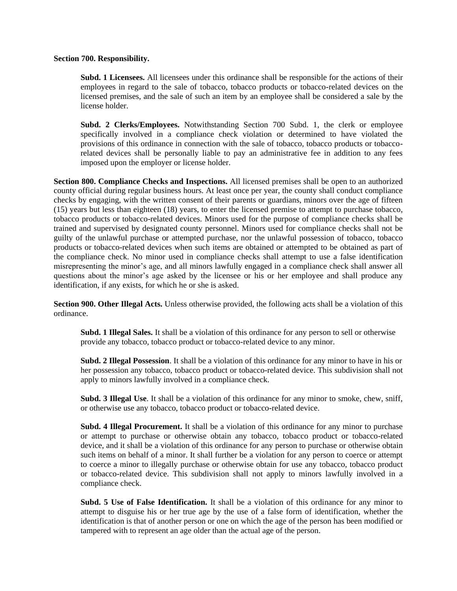#### **Section 700. Responsibility.**

**Subd. 1 Licensees.** All licensees under this ordinance shall be responsible for the actions of their employees in regard to the sale of tobacco, tobacco products or tobacco-related devices on the licensed premises, and the sale of such an item by an employee shall be considered a sale by the license holder.

**Subd. 2 Clerks/Employees.** Notwithstanding Section 700 Subd. 1, the clerk or employee specifically involved in a compliance check violation or determined to have violated the provisions of this ordinance in connection with the sale of tobacco, tobacco products or tobaccorelated devices shall be personally liable to pay an administrative fee in addition to any fees imposed upon the employer or license holder.

**Section 800. Compliance Checks and Inspections.** All licensed premises shall be open to an authorized county official during regular business hours. At least once per year, the county shall conduct compliance checks by engaging, with the written consent of their parents or guardians, minors over the age of fifteen (15) years but less than eighteen (18) years, to enter the licensed premise to attempt to purchase tobacco, tobacco products or tobacco-related devices. Minors used for the purpose of compliance checks shall be trained and supervised by designated county personnel. Minors used for compliance checks shall not be guilty of the unlawful purchase or attempted purchase, nor the unlawful possession of tobacco, tobacco products or tobacco-related devices when such items are obtained or attempted to be obtained as part of the compliance check. No minor used in compliance checks shall attempt to use a false identification misrepresenting the minor's age, and all minors lawfully engaged in a compliance check shall answer all questions about the minor's age asked by the licensee or his or her employee and shall produce any identification, if any exists, for which he or she is asked.

**Section 900. Other Illegal Acts.** Unless otherwise provided, the following acts shall be a violation of this ordinance.

**Subd. 1 Illegal Sales.** It shall be a violation of this ordinance for any person to sell or otherwise provide any tobacco, tobacco product or tobacco-related device to any minor.

**Subd. 2 Illegal Possession**. It shall be a violation of this ordinance for any minor to have in his or her possession any tobacco, tobacco product or tobacco-related device. This subdivision shall not apply to minors lawfully involved in a compliance check.

**Subd. 3 Illegal Use**. It shall be a violation of this ordinance for any minor to smoke, chew, sniff, or otherwise use any tobacco, tobacco product or tobacco-related device.

**Subd. 4 Illegal Procurement.** It shall be a violation of this ordinance for any minor to purchase or attempt to purchase or otherwise obtain any tobacco, tobacco product or tobacco-related device, and it shall be a violation of this ordinance for any person to purchase or otherwise obtain such items on behalf of a minor. It shall further be a violation for any person to coerce or attempt to coerce a minor to illegally purchase or otherwise obtain for use any tobacco, tobacco product or tobacco-related device. This subdivision shall not apply to minors lawfully involved in a compliance check.

**Subd. 5 Use of False Identification.** It shall be a violation of this ordinance for any minor to attempt to disguise his or her true age by the use of a false form of identification, whether the identification is that of another person or one on which the age of the person has been modified or tampered with to represent an age older than the actual age of the person.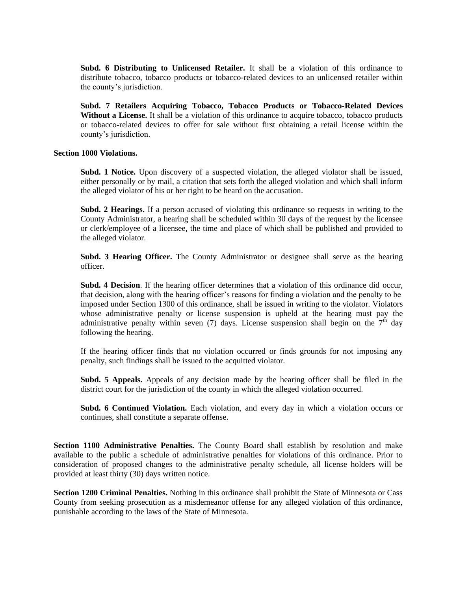**Subd. 6 Distributing to Unlicensed Retailer.** It shall be a violation of this ordinance to distribute tobacco, tobacco products or tobacco-related devices to an unlicensed retailer within the county's jurisdiction.

**Subd. 7 Retailers Acquiring Tobacco, Tobacco Products or Tobacco-Related Devices Without a License.** It shall be a violation of this ordinance to acquire tobacco, tobacco products or tobacco-related devices to offer for sale without first obtaining a retail license within the county's jurisdiction.

#### **Section 1000 Violations.**

**Subd. 1 Notice.** Upon discovery of a suspected violation, the alleged violator shall be issued, either personally or by mail, a citation that sets forth the alleged violation and which shall inform the alleged violator of his or her right to be heard on the accusation.

**Subd. 2 Hearings.** If a person accused of violating this ordinance so requests in writing to the County Administrator, a hearing shall be scheduled within 30 days of the request by the licensee or clerk/employee of a licensee, the time and place of which shall be published and provided to the alleged violator.

**Subd. 3 Hearing Officer.** The County Administrator or designee shall serve as the hearing officer.

**Subd. 4 Decision**. If the hearing officer determines that a violation of this ordinance did occur, that decision, along with the hearing officer's reasons for finding a violation and the penalty to be imposed under Section 1300 of this ordinance, shall be issued in writing to the violator. Violators whose administrative penalty or license suspension is upheld at the hearing must pay the administrative penalty within seven (7) days. License suspension shall begin on the  $7<sup>th</sup>$  day following the hearing.

If the hearing officer finds that no violation occurred or finds grounds for not imposing any penalty, such findings shall be issued to the acquitted violator.

**Subd. 5 Appeals.** Appeals of any decision made by the hearing officer shall be filed in the district court for the jurisdiction of the county in which the alleged violation occurred.

**Subd. 6 Continued Violation.** Each violation, and every day in which a violation occurs or continues, shall constitute a separate offense.

**Section 1100 Administrative Penalties.** The County Board shall establish by resolution and make available to the public a schedule of administrative penalties for violations of this ordinance. Prior to consideration of proposed changes to the administrative penalty schedule, all license holders will be provided at least thirty (30) days written notice.

**Section 1200 Criminal Penalties.** Nothing in this ordinance shall prohibit the State of Minnesota or Cass County from seeking prosecution as a misdemeanor offense for any alleged violation of this ordinance, punishable according to the laws of the State of Minnesota.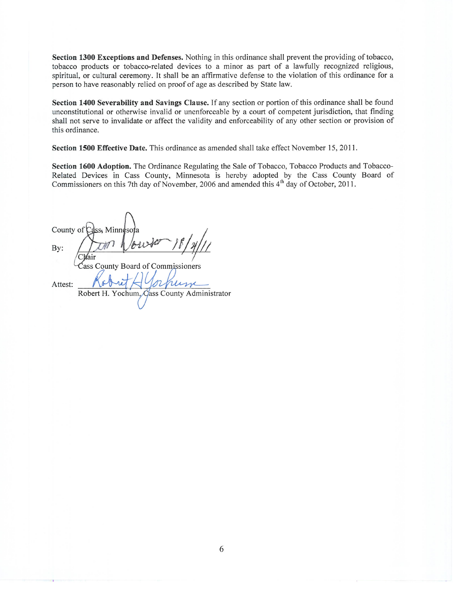Section 1300 Exceptions and Defenses. Nothing in this ordinance shall prevent the providing of tobacco, tobacco products or tobacco-related devices to a minor as part of a lawfully recognized religious, spiritual, or cultural ceremony. It shall be an affirmative defense to the violation of this ordinance for a person to have reasonably relied on proof of age as described by State law.

Section 1400 Severability and Savings Clause. If any section or portion of this ordinance shall be found unconstitutional or otherwise invalid or unenforceable by a court of competent jurisdiction, that finding shall not serve to invalidate or affect the validity and enforceability of any other section or provision of this ordinance.

Section 1500 Effective Date. This ordinance as amended shall take effect November 15, 2011.

Section 1600 Adoption. The Ordinance Regulating the Sale of Tobacco, Tobacco Products and Tobacco-Related Devices in Cass County, Minnesota is hereby adopted by the Cass County Board of Commissioners on this 7th day of November, 2006 and amended this 4<sup>th</sup> day of October, 2011.

County of Minne By: County Board of Commissioners

Attest: Robert H. Yochum, Cass County Administrator